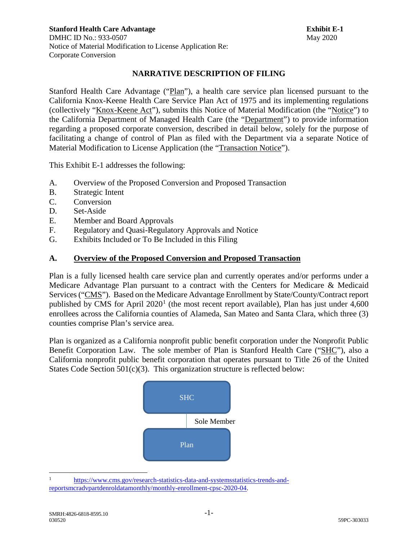# **NARRATIVE DESCRIPTION OF FILING**

Stanford Health Care Advantage ("Plan"), a health care service plan licensed pursuant to the California Knox-Keene Health Care Service Plan Act of 1975 and its implementing regulations (collectively "Knox-Keene Act"), submits this Notice of Material Modification (the "Notice") to the California Department of Managed Health Care (the "Department") to provide information regarding a proposed corporate conversion, described in detail below, solely for the purpose of facilitating a change of control of Plan as filed with the Department via a separate Notice of Material Modification to License Application (the "Transaction Notice").

This Exhibit E-1 addresses the following:

- A. Overview of the Proposed Conversion and Proposed Transaction
- B. Strategic Intent
- C. Conversion
- D. Set-Aside
- E. Member and Board Approvals
- F. Regulatory and Quasi-Regulatory Approvals and Notice
- G. Exhibits Included or To Be Included in this Filing

# **A. Overview of the Proposed Conversion and Proposed Transaction**

Plan is a fully licensed health care service plan and currently operates and/or performs under a Medicare Advantage Plan pursuant to a contract with the Centers for Medicare & Medicaid Services ("CMS"). Based on the Medicare Advantage Enrollment by State/County/Contract report published by CMS for April  $2020<sup>1</sup>$  $2020<sup>1</sup>$  $2020<sup>1</sup>$  (the most recent report available), Plan has just under 4,600 enrollees across the California counties of Alameda, San Mateo and Santa Clara, which three (3) counties comprise Plan's service area.

Plan is organized as a California nonprofit public benefit corporation under the Nonprofit Public Benefit Corporation Law. The sole member of Plan is Stanford Health Care ("SHC"), also a California nonprofit public benefit corporation that operates pursuant to Title 26 of the United States Code Section 501(c)(3). This organization structure is reflected below:



<span id="page-0-0"></span><sup>&</sup>lt;sup>1</sup> [https://www.cms.gov/research-statistics-data-and-systemsstatistics-trends-and](https://www.cms.gov/research-statistics-data-and-systemsstatistics-trends-and-reportsmcradvpartdenroldatamonthly/monthly-enrollment-cpsc-2020-04)[reportsmcradvpartdenroldatamonthly/monthly-enrollment-cpsc-2020-04.](https://www.cms.gov/research-statistics-data-and-systemsstatistics-trends-and-reportsmcradvpartdenroldatamonthly/monthly-enrollment-cpsc-2020-04)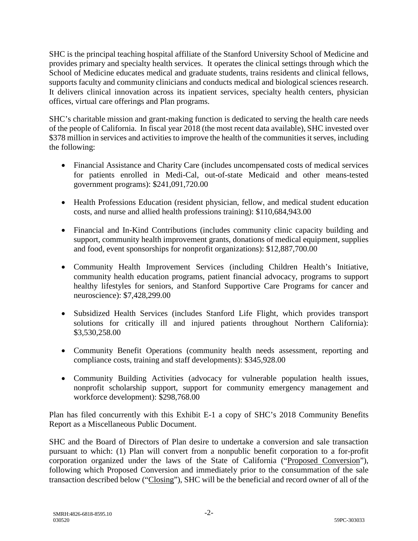SHC is the principal teaching hospital affiliate of the Stanford University School of Medicine and provides primary and specialty health services. It operates the clinical settings through which the School of Medicine educates medical and graduate students, trains residents and clinical fellows, supports faculty and community clinicians and conducts medical and biological sciences research. It delivers clinical innovation across its inpatient services, specialty health centers, physician offices, virtual care offerings and Plan programs.

SHC's charitable mission and grant-making function is dedicated to serving the health care needs of the people of California. In fiscal year 2018 (the most recent data available), SHC invested over \$378 million in services and activities to improve the health of the communities it serves, including the following:

- Financial Assistance and Charity Care (includes uncompensated costs of medical services for patients enrolled in Medi-Cal, out-of-state Medicaid and other means-tested government programs): \$241,091,720.00
- Health Professions Education (resident physician, fellow, and medical student education costs, and nurse and allied health professions training): \$110,684,943.00
- Financial and In-Kind Contributions (includes community clinic capacity building and support, community health improvement grants, donations of medical equipment, supplies and food, event sponsorships for nonprofit organizations): \$12,887,700.00
- Community Health Improvement Services (including Children Health's Initiative, community health education programs, patient financial advocacy, programs to support healthy lifestyles for seniors, and Stanford Supportive Care Programs for cancer and neuroscience): \$7,428,299.00
- Subsidized Health Services (includes Stanford Life Flight, which provides transport solutions for critically ill and injured patients throughout Northern California): \$3,530,258.00
- Community Benefit Operations (community health needs assessment, reporting and compliance costs, training and staff developments): \$345,928.00
- Community Building Activities (advocacy for vulnerable population health issues, nonprofit scholarship support, support for community emergency management and workforce development): \$298,768.00

Plan has filed concurrently with this Exhibit E-1 a copy of SHC's 2018 Community Benefits Report as a Miscellaneous Public Document.

SHC and the Board of Directors of Plan desire to undertake a conversion and sale transaction pursuant to which: (1) Plan will convert from a nonpublic benefit corporation to a for-profit corporation organized under the laws of the State of California ("Proposed Conversion"), following which Proposed Conversion and immediately prior to the consummation of the sale transaction described below ("Closing"), SHC will be the beneficial and record owner of all of the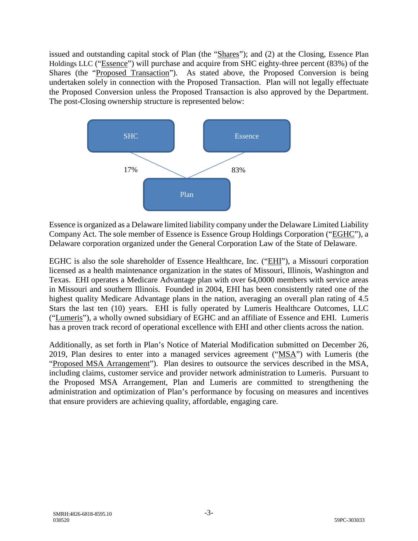issued and outstanding capital stock of Plan (the "Shares"); and (2) at the Closing, Essence Plan Holdings LLC ("Essence") will purchase and acquire from SHC eighty-three percent (83%) of the Shares (the "Proposed Transaction"). As stated above, the Proposed Conversion is being undertaken solely in connection with the Proposed Transaction. Plan will not legally effectuate the Proposed Conversion unless the Proposed Transaction is also approved by the Department. The post-Closing ownership structure is represented below:



Essence is organized as a Delaware limited liability company under the Delaware Limited Liability Company Act. The sole member of Essence is Essence Group Holdings Corporation ("EGHC"), a Delaware corporation organized under the General Corporation Law of the State of Delaware.

EGHC is also the sole shareholder of Essence Healthcare, Inc. ("EHI"), a Missouri corporation licensed as a health maintenance organization in the states of Missouri, Illinois, Washington and Texas. EHI operates a Medicare Advantage plan with over 64,0000 members with service areas in Missouri and southern Illinois. Founded in 2004, EHI has been consistently rated one of the highest quality Medicare Advantage plans in the nation, averaging an overall plan rating of 4.5 Stars the last ten (10) years. EHI is fully operated by Lumeris Healthcare Outcomes, LLC ("Lumeris"), a wholly owned subsidiary of EGHC and an affiliate of Essence and EHI. Lumeris has a proven track record of operational excellence with EHI and other clients across the nation.

Additionally, as set forth in Plan's Notice of Material Modification submitted on December 26, 2019, Plan desires to enter into a managed services agreement ("MSA") with Lumeris (the "Proposed MSA Arrangement"). Plan desires to outsource the services described in the MSA, including claims, customer service and provider network administration to Lumeris. Pursuant to the Proposed MSA Arrangement, Plan and Lumeris are committed to strengthening the administration and optimization of Plan's performance by focusing on measures and incentives that ensure providers are achieving quality, affordable, engaging care.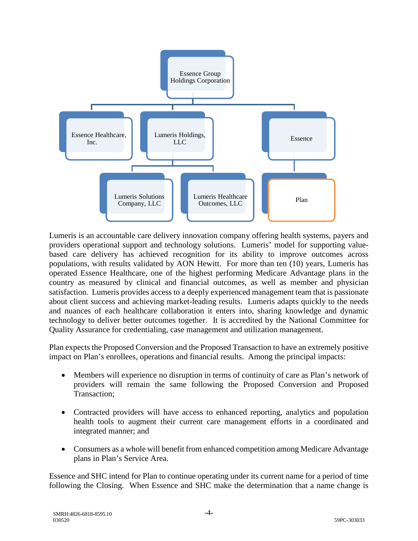

Lumeris is an accountable care delivery innovation company offering health systems, payers and providers operational support and technology solutions. Lumeris' model for supporting valuebased care delivery has achieved recognition for its ability to improve outcomes across populations, with results validated by AON Hewitt. For more than ten (10) years, Lumeris has operated Essence Healthcare, one of the highest performing Medicare Advantage plans in the country as measured by clinical and financial outcomes, as well as member and physician satisfaction. Lumeris provides access to a deeply experienced management team that is passionate about client success and achieving market-leading results. Lumeris adapts quickly to the needs and nuances of each healthcare collaboration it enters into, sharing knowledge and dynamic technology to deliver better outcomes together. It is accredited by the National Committee for Quality Assurance for credentialing, case management and utilization management.

Plan expects the Proposed Conversion and the Proposed Transaction to have an extremely positive impact on Plan's enrollees, operations and financial results. Among the principal impacts:

- Members will experience no disruption in terms of continuity of care as Plan's network of providers will remain the same following the Proposed Conversion and Proposed Transaction;
- Contracted providers will have access to enhanced reporting, analytics and population health tools to augment their current care management efforts in a coordinated and integrated manner; and
- Consumers as a whole will benefit from enhanced competition among Medicare Advantage plans in Plan's Service Area.

Essence and SHC intend for Plan to continue operating under its current name for a period of time following the Closing. When Essence and SHC make the determination that a name change is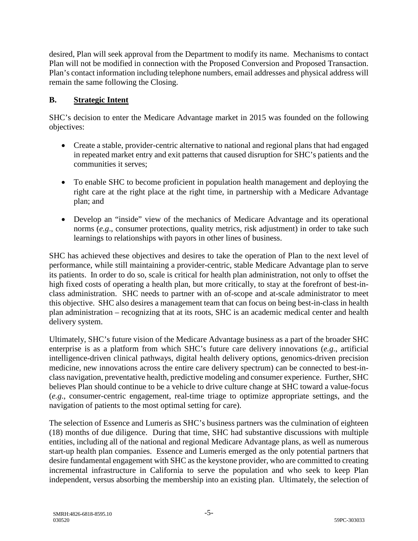desired, Plan will seek approval from the Department to modify its name. Mechanisms to contact Plan will not be modified in connection with the Proposed Conversion and Proposed Transaction. Plan's contact information including telephone numbers, email addresses and physical address will remain the same following the Closing.

# **B. Strategic Intent**

SHC's decision to enter the Medicare Advantage market in 2015 was founded on the following objectives:

- Create a stable, provider-centric alternative to national and regional plans that had engaged in repeated market entry and exit patterns that caused disruption for SHC's patients and the communities it serves;
- To enable SHC to become proficient in population health management and deploying the right care at the right place at the right time, in partnership with a Medicare Advantage plan; and
- Develop an "inside" view of the mechanics of Medicare Advantage and its operational norms (*e.g*., consumer protections, quality metrics, risk adjustment) in order to take such learnings to relationships with payors in other lines of business.

SHC has achieved these objectives and desires to take the operation of Plan to the next level of performance, while still maintaining a provider-centric, stable Medicare Advantage plan to serve its patients. In order to do so, scale is critical for health plan administration, not only to offset the high fixed costs of operating a health plan, but more critically, to stay at the forefront of best-inclass administration. SHC needs to partner with an of-scope and at-scale administrator to meet this objective. SHC also desires a management team that can focus on being best-in-class in health plan administration – recognizing that at its roots, SHC is an academic medical center and health delivery system.

Ultimately, SHC's future vision of the Medicare Advantage business as a part of the broader SHC enterprise is as a platform from which SHC's future care delivery innovations (*e.g*., artificial intelligence-driven clinical pathways, digital health delivery options, genomics-driven precision medicine, new innovations across the entire care delivery spectrum) can be connected to best-inclass navigation, preventative health, predictive modeling and consumer experience. Further, SHC believes Plan should continue to be a vehicle to drive culture change at SHC toward a value-focus (*e.g*., consumer-centric engagement, real-time triage to optimize appropriate settings, and the navigation of patients to the most optimal setting for care).

The selection of Essence and Lumeris as SHC's business partners was the culmination of eighteen (18) months of due diligence. During that time, SHC had substantive discussions with multiple entities, including all of the national and regional Medicare Advantage plans, as well as numerous start-up health plan companies. Essence and Lumeris emerged as the only potential partners that desire fundamental engagement with SHC as the keystone provider, who are committed to creating incremental infrastructure in California to serve the population and who seek to keep Plan independent, versus absorbing the membership into an existing plan. Ultimately, the selection of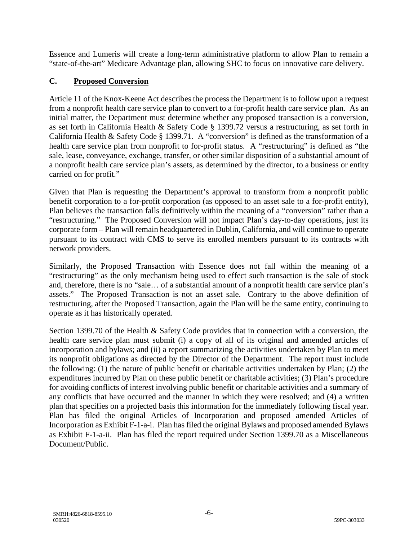Essence and Lumeris will create a long-term administrative platform to allow Plan to remain a "state-of-the-art" Medicare Advantage plan, allowing SHC to focus on innovative care delivery.

# **C. Proposed Conversion**

Article 11 of the Knox-Keene Act describes the process the Department is to follow upon a request from a nonprofit health care service plan to convert to a for-profit health care service plan. As an initial matter, the Department must determine whether any proposed transaction is a conversion, as set forth in California Health & Safety Code § 1399.72 versus a restructuring, as set forth in California Health & Safety Code § 1399.71. A "conversion" is defined as the transformation of a health care service plan from nonprofit to for-profit status. A "restructuring" is defined as "the sale, lease, conveyance, exchange, transfer, or other similar disposition of a substantial amount of a nonprofit health care service plan's assets, as determined by the director, to a business or entity carried on for profit."

Given that Plan is requesting the Department's approval to transform from a nonprofit public benefit corporation to a for-profit corporation (as opposed to an asset sale to a for-profit entity), Plan believes the transaction falls definitively within the meaning of a "conversion" rather than a "restructuring." The Proposed Conversion will not impact Plan's day-to-day operations, just its corporate form – Plan will remain headquartered in Dublin, California, and will continue to operate pursuant to its contract with CMS to serve its enrolled members pursuant to its contracts with network providers.

Similarly, the Proposed Transaction with Essence does not fall within the meaning of a "restructuring" as the only mechanism being used to effect such transaction is the sale of stock and, therefore, there is no "sale… of a substantial amount of a nonprofit health care service plan's assets." The Proposed Transaction is not an asset sale. Contrary to the above definition of restructuring, after the Proposed Transaction, again the Plan will be the same entity, continuing to operate as it has historically operated.

Section 1399.70 of the Health & Safety Code provides that in connection with a conversion, the health care service plan must submit (i) a copy of all of its original and amended articles of incorporation and bylaws; and (ii) a report summarizing the activities undertaken by Plan to meet its nonprofit obligations as directed by the Director of the Department. The report must include the following: (1) the nature of public benefit or charitable activities undertaken by Plan; (2) the expenditures incurred by Plan on these public benefit or charitable activities; (3) Plan's procedure for avoiding conflicts of interest involving public benefit or charitable activities and a summary of any conflicts that have occurred and the manner in which they were resolved; and (4) a written plan that specifies on a projected basis this information for the immediately following fiscal year. Plan has filed the original Articles of Incorporation and proposed amended Articles of Incorporation as Exhibit F-1-a-i. Plan has filed the original Bylaws and proposed amended Bylaws as Exhibit F-1-a-ii. Plan has filed the report required under Section 1399.70 as a Miscellaneous Document/Public.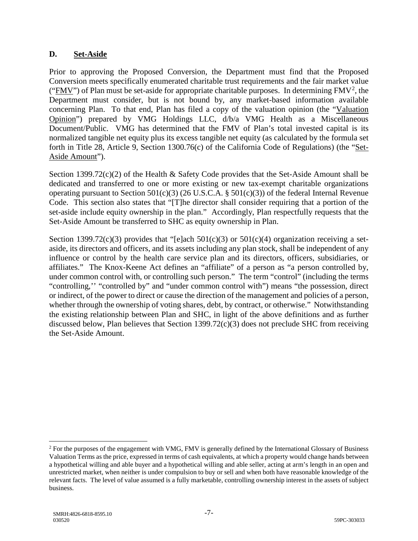# **D. Set-Aside**

Prior to approving the Proposed Conversion, the Department must find that the Proposed Conversion meets specifically enumerated charitable trust requirements and the fair market value (" $\frac{FMV''}{FMV''}$ ) of Plan must be set-aside for appropriate charitable purposes. In determining  $FMV^2$  $FMV^2$ , the Department must consider, but is not bound by, any market-based information available concerning Plan. To that end, Plan has filed a copy of the valuation opinion (the "Valuation Opinion") prepared by VMG Holdings LLC, d/b/a VMG Health as a Miscellaneous Document/Public. VMG has determined that the FMV of Plan's total invested capital is its normalized tangible net equity plus its excess tangible net equity (as calculated by the formula set forth in Title 28, Article 9, Section 1300.76(c) of the California Code of Regulations) (the "Set-Aside Amount").

Section 1399.72(c)(2) of the Health & Safety Code provides that the Set-Aside Amount shall be dedicated and transferred to one or more existing or new tax-exempt charitable organizations operating pursuant to Section 501(c)(3) (26 U.S.C.A.  $\S$  501(c)(3)) of the federal Internal Revenue Code. This section also states that "[T]he director shall consider requiring that a portion of the set-aside include equity ownership in the plan." Accordingly, Plan respectfully requests that the Set-Aside Amount be transferred to SHC as equity ownership in Plan.

Section 1399.72(c)(3) provides that "[e]ach 501(c)(3) or 501(c)(4) organization receiving a setaside, its directors and officers, and its assets including any plan stock, shall be independent of any influence or control by the health care service plan and its directors, officers, subsidiaries, or affiliates." The Knox-Keene Act defines an "affiliate" of a person as "a person controlled by, under common control with, or controlling such person." The term "control" (including the terms "controlling,'' "controlled by" and "under common control with") means "the possession, direct or indirect, of the power to direct or cause the direction of the management and policies of a person, whether through the ownership of voting shares, debt, by contract, or otherwise." Notwithstanding the existing relationship between Plan and SHC, in light of the above definitions and as further discussed below, Plan believes that Section 1399.72(c)(3) does not preclude SHC from receiving the Set-Aside Amount.

<span id="page-6-0"></span> $2$  For the purposes of the engagement with VMG, FMV is generally defined by the International Glossary of Business Valuation Terms as the price, expressed in terms of cash equivalents, at which a property would change hands between a hypothetical willing and able buyer and a hypothetical willing and able seller, acting at arm's length in an open and unrestricted market, when neither is under compulsion to buy or sell and when both have reasonable knowledge of the relevant facts. The level of value assumed is a fully marketable, controlling ownership interest in the assets of subject business.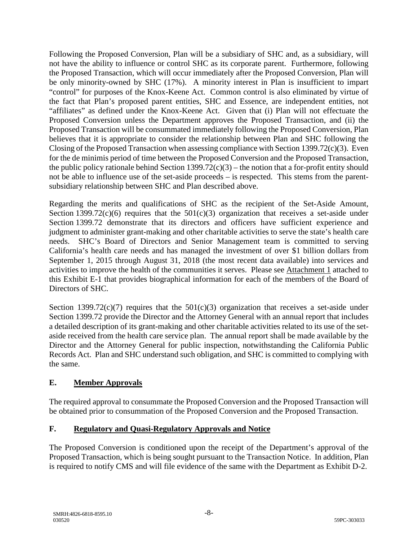Following the Proposed Conversion, Plan will be a subsidiary of SHC and, as a subsidiary, will not have the ability to influence or control SHC as its corporate parent. Furthermore, following the Proposed Transaction, which will occur immediately after the Proposed Conversion, Plan will be only minority-owned by SHC (17%). A minority interest in Plan is insufficient to impart "control" for purposes of the Knox-Keene Act. Common control is also eliminated by virtue of the fact that Plan's proposed parent entities, SHC and Essence, are independent entities, not "affiliates" as defined under the Knox-Keene Act. Given that (i) Plan will not effectuate the Proposed Conversion unless the Department approves the Proposed Transaction, and (ii) the Proposed Transaction will be consummated immediately following the Proposed Conversion, Plan believes that it is appropriate to consider the relationship between Plan and SHC following the Closing of the Proposed Transaction when assessing compliance with Section 1399.72(c)(3). Even for the de minimis period of time between the Proposed Conversion and the Proposed Transaction, the public policy rationale behind Section  $1399.72(c)(3)$  – the notion that a for-profit entity should not be able to influence use of the set-aside proceeds – is respected. This stems from the parentsubsidiary relationship between SHC and Plan described above.

Regarding the merits and qualifications of SHC as the recipient of the Set-Aside Amount, Section 1399.72(c)(6) requires that the  $501(c)(3)$  organization that receives a set-aside under Section 1399.72 demonstrate that its directors and officers have sufficient experience and judgment to administer grant-making and other charitable activities to serve the state's health care needs. SHC's Board of Directors and Senior Management team is committed to serving California's health care needs and has managed the investment of over \$1 billion dollars from September 1, 2015 through August 31, 2018 (the most recent data available) into services and activities to improve the health of the communities it serves. Please see Attachment 1 attached to this Exhibit E-1 that provides biographical information for each of the members of the Board of Directors of SHC.

Section 1399.72(c)(7) requires that the  $501(c)(3)$  organization that receives a set-aside under Section 1399.72 provide the Director and the Attorney General with an annual report that includes a detailed description of its grant-making and other charitable activities related to its use of the setaside received from the health care service plan. The annual report shall be made available by the Director and the Attorney General for public inspection, notwithstanding the California Public Records Act. Plan and SHC understand such obligation, and SHC is committed to complying with the same.

# **E. Member Approvals**

The required approval to consummate the Proposed Conversion and the Proposed Transaction will be obtained prior to consummation of the Proposed Conversion and the Proposed Transaction.

# **F. Regulatory and Quasi-Regulatory Approvals and Notice**

The Proposed Conversion is conditioned upon the receipt of the Department's approval of the Proposed Transaction, which is being sought pursuant to the Transaction Notice. In addition, Plan is required to notify CMS and will file evidence of the same with the Department as Exhibit D-2.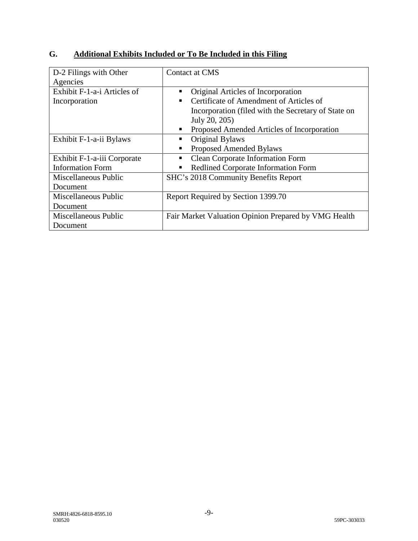| D-2 Filings with Other      | Contact at CMS                                               |
|-----------------------------|--------------------------------------------------------------|
| Agencies                    |                                                              |
| Exhibit F-1-a-i Articles of | Original Articles of Incorporation                           |
| Incorporation               | Certificate of Amendment of Articles of                      |
|                             | Incorporation (filed with the Secretary of State on          |
|                             | July 20, 205)                                                |
|                             | Proposed Amended Articles of Incorporation<br>$\blacksquare$ |
| Exhibit F-1-a-ii Bylaws     | Original Bylaws                                              |
|                             | <b>Proposed Amended Bylaws</b>                               |
| Exhibit F-1-a-iii Corporate | <b>Clean Corporate Information Form</b>                      |
| <b>Information Form</b>     | Redlined Corporate Information Form<br>٠                     |
| Miscellaneous Public        | SHC's 2018 Community Benefits Report                         |
| Document                    |                                                              |
| Miscellaneous Public        | Report Required by Section 1399.70                           |
| Document                    |                                                              |
| Miscellaneous Public        | Fair Market Valuation Opinion Prepared by VMG Health         |
| Document                    |                                                              |

# **G. Additional Exhibits Included or To Be Included in this Filing**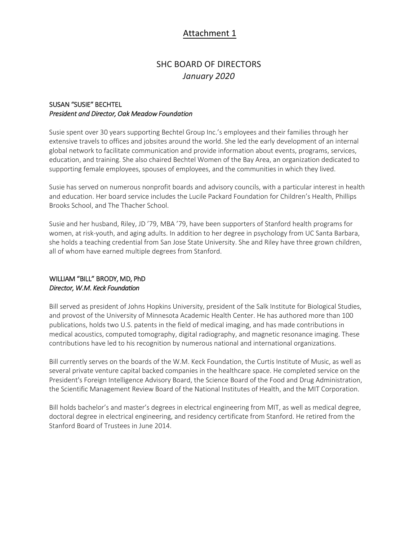# Attachment 1

# **SHC BOARD OF DIRECTORS** January 2020

### **SUSAN "SUSIE" BECHTEL** President and Director, Oak Meadow Foundation

Susie spent over 30 years supporting Bechtel Group Inc.'s employees and their families through her extensive travels to offices and jobsites around the world. She led the early development of an internal global network to facilitate communication and provide information about events, programs, services, education, and training. She also chaired Bechtel Women of the Bay Area, an organization dedicated to supporting female employees, spouses of employees, and the communities in which they lived.

Susie has served on numerous nonprofit boards and advisory councils, with a particular interest in health and education. Her board service includes the Lucile Packard Foundation for Children's Health, Phillips Brooks School, and The Thacher School.

Susie and her husband, Riley, JD '79, MBA '79, have been supporters of Stanford health programs for women, at risk-youth, and aging adults. In addition to her degree in psychology from UC Santa Barbara, she holds a teaching credential from San Jose State University. She and Riley have three grown children, all of whom have earned multiple degrees from Stanford.

#### WILLIAM "BILL" BRODY, MD, PhD Director, W.M. Keck Foundation

Bill served as president of Johns Hopkins University, president of the Salk Institute for Biological Studies, and provost of the University of Minnesota Academic Health Center. He has authored more than 100 publications, holds two U.S. patents in the field of medical imaging, and has made contributions in medical acoustics, computed tomography, digital radiography, and magnetic resonance imaging. These contributions have led to his recognition by numerous national and international organizations.

Bill currently serves on the boards of the W.M. Keck Foundation, the Curtis Institute of Music, as well as several private venture capital backed companies in the healthcare space. He completed service on the President's Foreign Intelligence Advisory Board, the Science Board of the Food and Drug Administration, the Scientific Management Review Board of the National Institutes of Health, and the MIT Corporation.

Bill holds bachelor's and master's degrees in electrical engineering from MIT, as well as medical degree, doctoral degree in electrical engineering, and residency certificate from Stanford. He retired from the Stanford Board of Trustees in June 2014.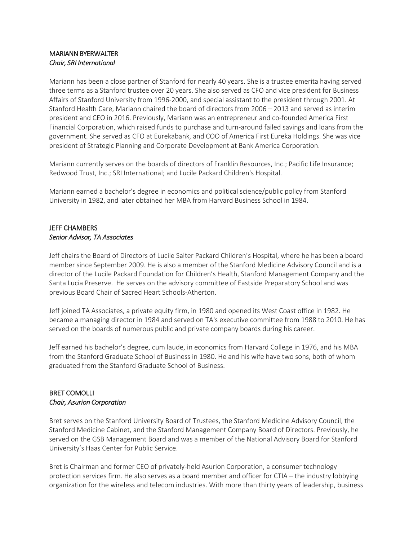### **MARIANN BYERWALTER** Chair, SRI International

Mariann has been a close partner of Stanford for nearly 40 years. She is a trustee emerita having served three terms as a Stanford trustee over 20 years. She also served as CFO and vice president for Business Affairs of Stanford University from 1996-2000, and special assistant to the president through 2001. At Stanford Health Care, Mariann chaired the board of directors from 2006 - 2013 and served as interim president and CEO in 2016. Previously, Mariann was an entrepreneur and co-founded America First Financial Corporation, which raised funds to purchase and turn-around failed savings and loans from the government. She served as CFO at Eurekabank, and COO of America First Eureka Holdings. She was vice president of Strategic Planning and Corporate Development at Bank America Corporation.

Mariann currently serves on the boards of directors of Franklin Resources, Inc.; Pacific Life Insurance; Redwood Trust, Inc.; SRI International; and Lucile Packard Children's Hospital.

Mariann earned a bachelor's degree in economics and political science/public policy from Stanford University in 1982, and later obtained her MBA from Harvard Business School in 1984.

## **JEFF CHAMBERS** Senior Advisor, TA Associates

Jeff chairs the Board of Directors of Lucile Salter Packard Children's Hospital, where he has been a board member since September 2009. He is also a member of the Stanford Medicine Advisory Council and is a director of the Lucile Packard Foundation for Children's Health, Stanford Management Company and the Santa Lucia Preserve. He serves on the advisory committee of Eastside Preparatory School and was previous Board Chair of Sacred Heart Schools-Atherton.

Jeff joined TA Associates, a private equity firm, in 1980 and opened its West Coast office in 1982. He became a managing director in 1984 and served on TA's executive committee from 1988 to 2010. He has served on the boards of numerous public and private company boards during his career.

Jeff earned his bachelor's degree, cum laude, in economics from Harvard College in 1976, and his MBA from the Stanford Graduate School of Business in 1980. He and his wife have two sons, both of whom graduated from the Stanford Graduate School of Business.

### **BRET COMOLLI Chair, Asurion Corporation**

Bret serves on the Stanford University Board of Trustees, the Stanford Medicine Advisory Council, the Stanford Medicine Cabinet, and the Stanford Management Company Board of Directors. Previously, he served on the GSB Management Board and was a member of the National Advisory Board for Stanford University's Haas Center for Public Service.

Bret is Chairman and former CEO of privately-held Asurion Corporation, a consumer technology protection services firm. He also serves as a board member and officer for CTIA - the industry lobbying organization for the wireless and telecom industries. With more than thirty years of leadership, business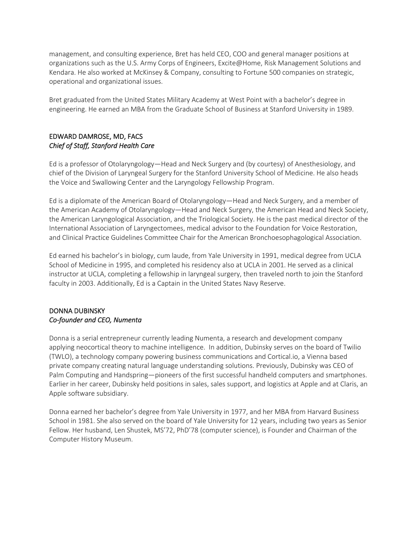management, and consulting experience, Bret has held CEO, COO and general manager positions at organizations such as the U.S. Army Corps of Engineers, Excite@Home, Risk Management Solutions and Kendara. He also worked at McKinsey & Company, consulting to Fortune 500 companies on strategic, operational and organizational issues.

Bret graduated from the United States Military Academy at West Point with a bachelor's degree in engineering. He earned an MBA from the Graduate School of Business at Stanford University in 1989.

### EDWARD DAMROSE, MD, FACS Chief of Staff, Stanford Health Care

Ed is a professor of Otolaryngology—Head and Neck Surgery and (by courtesy) of Anesthesiology, and chief of the Division of Laryngeal Surgery for the Stanford University School of Medicine. He also heads the Voice and Swallowing Center and the Laryngology Fellowship Program.

Ed is a diplomate of the American Board of Otolaryngology—Head and Neck Surgery, and a member of the American Academy of Otolaryngology—Head and Neck Surgery, the American Head and Neck Society, the American Laryngological Association, and the Triological Society. He is the past medical director of the International Association of Laryngectomees, medical advisor to the Foundation for Voice Restoration, and Clinical Practice Guidelines Committee Chair for the American Bronchoesophagological Association.

Ed earned his bachelor's in biology, cum laude, from Yale University in 1991, medical degree from UCLA School of Medicine in 1995, and completed his residency also at UCLA in 2001. He served as a clinical instructor at UCLA, completing a fellowship in laryngeal surgery, then traveled north to join the Stanford faculty in 2003. Additionally, Ed is a Captain in the United States Navy Reserve.

### **DONNA DUBINSKY** Co-founder and CEO, Numenta

Donna is a serial entrepreneur currently leading Numenta, a research and development company applying neocortical theory to machine intelligence. In addition, Dubinsky serves on the board of Twilio (TWLO), a technology company powering business communications and Cortical.io, a Vienna based private company creating natural language understanding solutions. Previously, Dubinsky was CEO of Palm Computing and Handspring—pioneers of the first successful handheld computers and smartphones. Earlier in her career, Dubinsky held positions in sales, sales support, and logistics at Apple and at Claris, an Apple software subsidiary.

Donna earned her bachelor's degree from Yale University in 1977, and her MBA from Harvard Business School in 1981. She also served on the board of Yale University for 12 years, including two years as Senior Fellow. Her husband, Len Shustek, MS'72, PhD'78 (computer science), is Founder and Chairman of the Computer History Museum.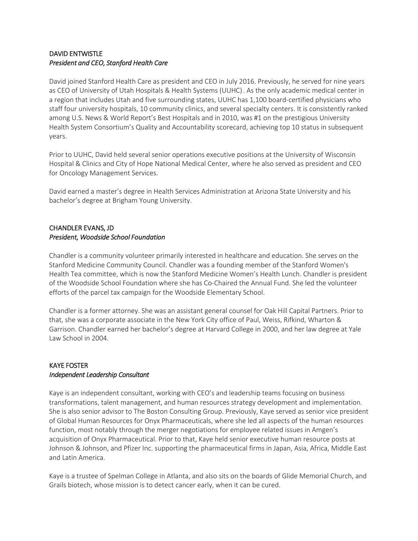### **DAVID ENTWISTLE** President and CEO, Stanford Health Care

David joined Stanford Health Care as president and CEO in July 2016. Previously, he served for nine years as CEO of University of Utah Hospitals & Health Systems (UUHC). As the only academic medical center in a region that includes Utah and five surrounding states, UUHC has 1,100 board-certified physicians who staff four university hospitals, 10 community clinics, and several specialty centers. It is consistently ranked among U.S. News & World Report's Best Hospitals and in 2010, was #1 on the prestigious University Health System Consortium's Quality and Accountability scorecard, achieving top 10 status in subsequent vears.

Prior to UUHC, David held several senior operations executive positions at the University of Wisconsin Hospital & Clinics and City of Hope National Medical Center, where he also served as president and CEO for Oncology Management Services.

David earned a master's degree in Health Services Administration at Arizona State University and his bachelor's degree at Brigham Young University.

# **CHANDLER EVANS, JD** President, Woodside School Foundation

Chandler is a community volunteer primarily interested in healthcare and education. She serves on the Stanford Medicine Community Council. Chandler was a founding member of the Stanford Women's Health Tea committee, which is now the Stanford Medicine Women's Health Lunch. Chandler is president of the Woodside School Foundation where she has Co-Chaired the Annual Fund. She led the volunteer efforts of the parcel tax campaign for the Woodside Elementary School.

Chandler is a former attorney. She was an assistant general counsel for Oak Hill Capital Partners. Prior to that, she was a corporate associate in the New York City office of Paul, Weiss, Rifkind, Wharton & Garrison. Chandler earned her bachelor's degree at Harvard College in 2000, and her law degree at Yale Law School in 2004.

### **KAYE FOSTER** Independent Leadership Consultant

Kaye is an independent consultant, working with CEO's and leadership teams focusing on business transformations, talent management, and human resources strategy development and implementation. She is also senior advisor to The Boston Consulting Group. Previously, Kaye served as senior vice president of Global Human Resources for Onyx Pharmaceuticals, where she led all aspects of the human resources function, most notably through the merger negotiations for employee related issues in Amgen's acquisition of Onyx Pharmaceutical. Prior to that, Kaye held senior executive human resource posts at Johnson & Johnson, and Pfizer Inc. supporting the pharmaceutical firms in Japan, Asia, Africa, Middle East and Latin America.

Kaye is a trustee of Spelman College in Atlanta, and also sits on the boards of Glide Memorial Church, and Grails biotech, whose mission is to detect cancer early, when it can be cured.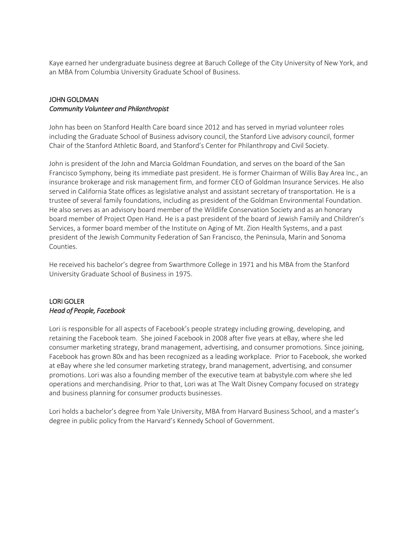Kaye earned her undergraduate business degree at Baruch College of the City University of New York, and an MBA from Columbia University Graduate School of Business.

### **JOHN GOLDMAN Community Volunteer and Philanthropist**

John has been on Stanford Health Care board since 2012 and has served in myriad volunteer roles including the Graduate School of Business advisory council, the Stanford Live advisory council, former Chair of the Stanford Athletic Board, and Stanford's Center for Philanthropy and Civil Society.

John is president of the John and Marcia Goldman Foundation, and serves on the board of the San Francisco Symphony, being its immediate past president. He is former Chairman of Willis Bay Area Inc., an insurance brokerage and risk management firm, and former CEO of Goldman Insurance Services. He also served in California State offices as legislative analyst and assistant secretary of transportation. He is a trustee of several family foundations, including as president of the Goldman Environmental Foundation. He also serves as an advisory board member of the Wildlife Conservation Society and as an honorary board member of Project Open Hand. He is a past president of the board of Jewish Family and Children's Services, a former board member of the Institute on Aging of Mt. Zion Health Systems, and a past president of the Jewish Community Federation of San Francisco, the Peninsula, Marin and Sonoma Counties.

He received his bachelor's degree from Swarthmore College in 1971 and his MBA from the Stanford University Graduate School of Business in 1975.

### **LORI GOLER** Head of People, Facebook

Lori is responsible for all aspects of Facebook's people strategy including growing, developing, and retaining the Facebook team. She joined Facebook in 2008 after five years at eBay, where she led consumer marketing strategy, brand management, advertising, and consumer promotions. Since joining, Facebook has grown 80x and has been recognized as a leading workplace. Prior to Facebook, she worked at eBay where she led consumer marketing strategy, brand management, advertising, and consumer promotions. Lori was also a founding member of the executive team at babystyle.com where she led operations and merchandising. Prior to that, Lori was at The Walt Disney Company focused on strategy and business planning for consumer products businesses.

Lori holds a bachelor's degree from Yale University, MBA from Harvard Business School, and a master's degree in public policy from the Harvard's Kennedy School of Government.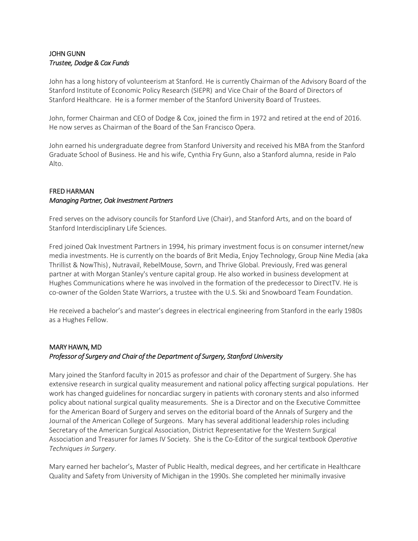## **JOHN GUNN** Trustee, Dodge & Cox Funds

John has a long history of volunteerism at Stanford. He is currently Chairman of the Advisory Board of the Stanford Institute of Economic Policy Research (SIEPR) and Vice Chair of the Board of Directors of Stanford Healthcare. He is a former member of the Stanford University Board of Trustees.

John, former Chairman and CEO of Dodge & Cox, joined the firm in 1972 and retired at the end of 2016. He now serves as Chairman of the Board of the San Francisco Opera.

John earned his undergraduate degree from Stanford University and received his MBA from the Stanford Graduate School of Business. He and his wife, Cynthia Fry Gunn, also a Stanford alumna, reside in Palo Alto.

### **FRED HARMAN Managing Partner, Oak Investment Partners**

Fred serves on the advisory councils for Stanford Live (Chair), and Stanford Arts, and on the board of Stanford Interdisciplinary Life Sciences.

Fred joined Oak Investment Partners in 1994, his primary investment focus is on consumer internet/new media investments. He is currently on the boards of Brit Media, Enjoy Technology, Group Nine Media (aka Thrillist & NowThis), Nutravail, RebelMouse, Sovrn, and Thrive Global. Previously, Fred was general partner at with Morgan Stanley's venture capital group. He also worked in business development at Hughes Communications where he was involved in the formation of the predecessor to DirectTV. He is co-owner of the Golden State Warriors, a trustee with the U.S. Ski and Snowboard Team Foundation.

He received a bachelor's and master's degrees in electrical engineering from Stanford in the early 1980s as a Hughes Fellow.

# MARY HAWN, MD Professor of Surgery and Chair of the Department of Surgery, Stanford University

Mary joined the Stanford faculty in 2015 as professor and chair of the Department of Surgery. She has extensive research in surgical quality measurement and national policy affecting surgical populations. Her work has changed guidelines for noncardiac surgery in patients with coronary stents and also informed policy about national surgical quality measurements. She is a Director and on the Executive Committee for the American Board of Surgery and serves on the editorial board of the Annals of Surgery and the Journal of the American College of Surgeons. Mary has several additional leadership roles including Secretary of the American Surgical Association, District Representative for the Western Surgical Association and Treasurer for James IV Society. She is the Co-Editor of the surgical textbook Operative Techniques in Surgery.

Mary earned her bachelor's, Master of Public Health, medical degrees, and her certificate in Healthcare Quality and Safety from University of Michigan in the 1990s. She completed her minimally invasive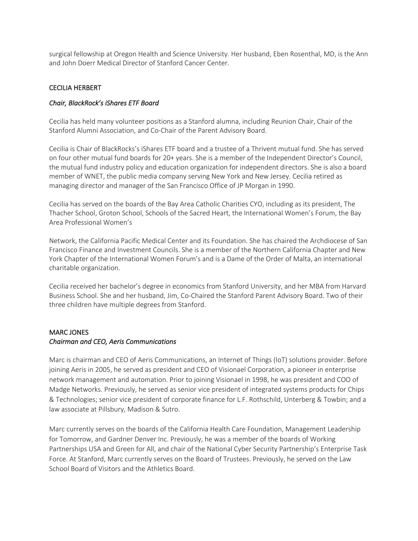surgical fellowship at Oregon Health and Science University. Her husband, Eben Rosenthal, MD, is the Ann and John Doerr Medical Director of Stanford Cancer Center.

### **CECILIA HERBERT**

### Chair, BlackRock's iShares ETF Board

Cecilia has held many volunteer positions as a Stanford alumna, including Reunion Chair, Chair of the Stanford Alumni Association, and Co-Chair of the Parent Advisory Board.

Cecilia is Chair of BlackRocks's iShares ETF board and a trustee of a Thrivent mutual fund. She has served on four other mutual fund boards for 20+ years. She is a member of the Independent Director's Council, the mutual fund industry policy and education organization for independent directors. She is also a board member of WNET, the public media company serving New York and New Jersey. Cecilia retired as managing director and manager of the San Francisco Office of JP Morgan in 1990.

Cecilia has served on the boards of the Bay Area Catholic Charities CYO, including as its president, The Thacher School, Groton School, Schools of the Sacred Heart, the International Women's Forum, the Bay Area Professional Women's

Network, the California Pacific Medical Center and its Foundation. She has chaired the Archdiocese of San Francisco Finance and Investment Councils. She is a member of the Northern California Chapter and New York Chapter of the International Women Forum's and is a Dame of the Order of Malta, an international charitable organization.

Cecilia received her bachelor's degree in economics from Stanford University, and her MBA from Harvard Business School. She and her husband, Jim, Co-Chaired the Stanford Parent Advisory Board. Two of their three children have multiple degrees from Stanford.

## **MARC JONES** Chairman and CEO, Aeris Communications

Marc is chairman and CEO of Aeris Communications, an Internet of Things (IoT) solutions provider. Before joining Aeris in 2005, he served as president and CEO of Visionael Corporation, a pioneer in enterprise network management and automation. Prior to joining Visionael in 1998, he was president and COO of Madge Networks. Previously, he served as senior vice president of integrated systems products for Chips & Technologies; senior vice president of corporate finance for L.F. Rothschild, Unterberg & Towbin; and a law associate at Pillsbury, Madison & Sutro.

Marc currently serves on the boards of the California Health Care Foundation, Management Leadership for Tomorrow, and Gardner Denver Inc. Previously, he was a member of the boards of Working Partnerships USA and Green for All, and chair of the National Cyber Security Partnership's Enterprise Task Force. At Stanford, Marc currently serves on the Board of Trustees. Previously, he served on the Law School Board of Visitors and the Athletics Board.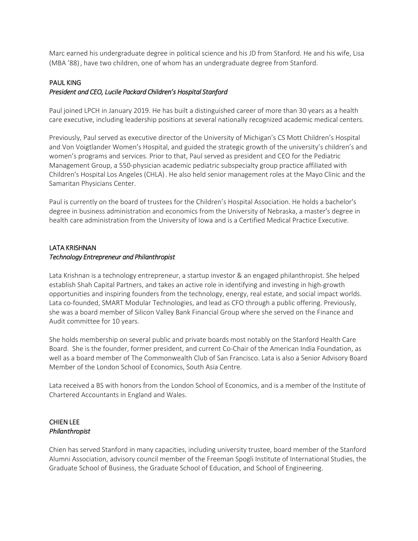Marc earned his undergraduate degree in political science and his JD from Stanford. He and his wife, Lisa (MBA '88), have two children, one of whom has an undergraduate degree from Stanford.

#### **PAUL KING**

#### President and CEO, Lucile Packard Children's Hospital Stanford

Paul joined LPCH in January 2019. He has built a distinguished career of more than 30 years as a health care executive, including leadership positions at several nationally recognized academic medical centers.

Previously, Paul served as executive director of the University of Michigan's CS Mott Children's Hospital and Von Voigtlander Women's Hospital, and guided the strategic growth of the university's children's and women's programs and services. Prior to that, Paul served as president and CEO for the Pediatric Management Group, a 550-physician academic pediatric subspecialty group practice affiliated with Children's Hospital Los Angeles (CHLA). He also held senior management roles at the Mayo Clinic and the Samaritan Physicians Center.

Paul is currently on the board of trustees for the Children's Hospital Association. He holds a bachelor's degree in business administration and economics from the University of Nebraska, a master's degree in health care administration from the University of Iowa and is a Certified Medical Practice Executive.

### **LATA KRISHNAN Technology Entrepreneur and Philanthropist**

Lata Krishnan is a technology entrepreneur, a startup investor & an engaged philanthropist. She helped establish Shah Capital Partners, and takes an active role in identifying and investing in high-growth opportunities and inspiring founders from the technology, energy, real estate, and social impact worlds. Lata co-founded, SMART Modular Technologies, and lead as CFO through a public offering. Previously, she was a board member of Silicon Valley Bank Financial Group where she served on the Finance and Audit committee for 10 years.

She holds membership on several public and private boards most notably on the Stanford Health Care Board. She is the founder, former president, and current Co-Chair of the American India Foundation, as well as a board member of The Commonwealth Club of San Francisco. Lata is also a Senior Advisory Board Member of the London School of Economics, South Asia Centre.

Lata received a BS with honors from the London School of Economics, and is a member of the Institute of Chartered Accountants in England and Wales.

### **CHIEN LEE** Philanthropist

Chien has served Stanford in many capacities, including university trustee, board member of the Stanford Alumni Association, advisory council member of the Freeman Spogli Institute of International Studies, the Graduate School of Business, the Graduate School of Education, and School of Engineering.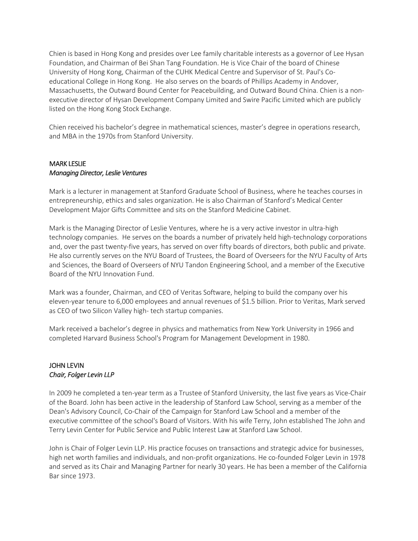Chien is based in Hong Kong and presides over Lee family charitable interests as a governor of Lee Hysan Foundation, and Chairman of Bei Shan Tang Foundation. He is Vice Chair of the board of Chinese University of Hong Kong, Chairman of the CUHK Medical Centre and Supervisor of St. Paul's Coeducational College in Hong Kong. He also serves on the boards of Phillips Academy in Andover, Massachusetts, the Outward Bound Center for Peacebuilding, and Outward Bound China. Chien is a nonexecutive director of Hysan Development Company Limited and Swire Pacific Limited which are publicly listed on the Hong Kong Stock Exchange.

Chien received his bachelor's degree in mathematical sciences, master's degree in operations research, and MBA in the 1970s from Stanford University.

### **MARK LESLIE Managing Director, Leslie Ventures**

Mark is a lecturer in management at Stanford Graduate School of Business, where he teaches courses in entrepreneurship, ethics and sales organization. He is also Chairman of Stanford's Medical Center Development Major Gifts Committee and sits on the Stanford Medicine Cabinet.

Mark is the Managing Director of Leslie Ventures, where he is a very active investor in ultra-high technology companies. He serves on the boards a number of privately held high-technology corporations and, over the past twenty-five years, has served on over fifty boards of directors, both public and private. He also currently serves on the NYU Board of Trustees, the Board of Overseers for the NYU Faculty of Arts and Sciences, the Board of Overseers of NYU Tandon Engineering School, and a member of the Executive Board of the NYU Innovation Fund.

Mark was a founder, Chairman, and CEO of Veritas Software, helping to build the company over his eleven-year tenure to 6,000 employees and annual revenues of \$1.5 billion. Prior to Veritas, Mark served as CEO of two Silicon Valley high-tech startup companies.

Mark received a bachelor's degree in physics and mathematics from New York University in 1966 and completed Harvard Business School's Program for Management Development in 1980.

### **JOHN LEVIN** Chair, Folger Levin LLP

In 2009 he completed a ten-year term as a Trustee of Stanford University, the last five years as Vice-Chair of the Board. John has been active in the leadership of Stanford Law School, serving as a member of the Dean's Advisory Council, Co-Chair of the Campaign for Stanford Law School and a member of the executive committee of the school's Board of Visitors. With his wife Terry, John established The John and Terry Levin Center for Public Service and Public Interest Law at Stanford Law School.

John is Chair of Folger Levin LLP. His practice focuses on transactions and strategic advice for businesses, high net worth families and individuals, and non-profit organizations. He co-founded Folger Levin in 1978 and served as its Chair and Managing Partner for nearly 30 years. He has been a member of the California Bar since 1973.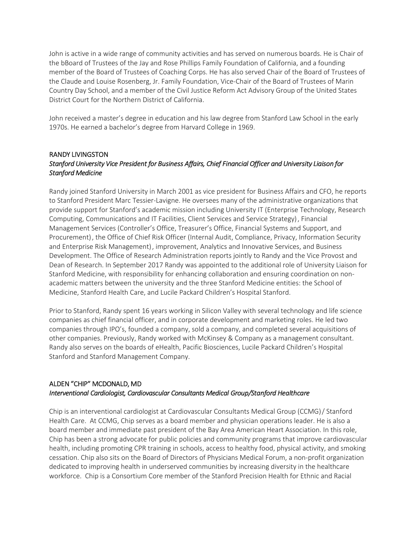John is active in a wide range of community activities and has served on numerous boards. He is Chair of the bBoard of Trustees of the Jay and Rose Phillips Family Foundation of California, and a founding member of the Board of Trustees of Coaching Corps. He has also served Chair of the Board of Trustees of the Claude and Louise Rosenberg, Jr. Family Foundation, Vice-Chair of the Board of Trustees of Marin Country Day School, and a member of the Civil Justice Reform Act Advisory Group of the United States District Court for the Northern District of California

John received a master's degree in education and his law degree from Stanford Law School in the early 1970s. He earned a bachelor's degree from Harvard College in 1969.

### **RANDY LIVINGSTON** Stanford University Vice President for Business Affairs, Chief Financial Officer and University Liaison for **Stanford Medicine**

Randy joined Stanford University in March 2001 as vice president for Business Affairs and CFO, he reports to Stanford President Marc Tessier-Lavigne. He oversees many of the administrative organizations that provide support for Stanford's academic mission including University IT (Enterprise Technology, Research Computing, Communications and IT Facilities, Client Services and Service Strategy), Financial Management Services (Controller's Office, Treasurer's Office, Financial Systems and Support, and Procurement), the Office of Chief Risk Officer (Internal Audit, Compliance, Privacy, Information Security and Enterprise Risk Management), improvement, Analytics and Innovative Services, and Business Development. The Office of Research Administration reports jointly to Randy and the Vice Provost and Dean of Research. In September 2017 Randy was appointed to the additional role of University Liaison for Stanford Medicine, with responsibility for enhancing collaboration and ensuring coordination on nonacademic matters between the university and the three Stanford Medicine entities: the School of Medicine, Stanford Health Care, and Lucile Packard Children's Hospital Stanford.

Prior to Stanford, Randy spent 16 years working in Silicon Valley with several technology and life science companies as chief financial officer, and in corporate development and marketing roles. He led two companies through IPO's, founded a company, sold a company, and completed several acquisitions of other companies. Previously, Randy worked with McKinsey & Company as a management consultant. Randy also serves on the boards of eHealth, Pacific Biosciences, Lucile Packard Children's Hospital Stanford and Stanford Management Company.

## ALDEN "CHIP" MCDONALD, MD Interventional Cardiologist, Cardiovascular Consultants Medical Group/Stanford Healthcare

Chip is an interventional cardiologist at Cardiovascular Consultants Medical Group (CCMG) / Stanford Health Care. At CCMG, Chip serves as a board member and physician operations leader. He is also a board member and immediate past president of the Bay Area American Heart Association. In this role, Chip has been a strong advocate for public policies and community programs that improve cardiovascular health, including promoting CPR training in schools, access to healthy food, physical activity, and smoking cessation. Chip also sits on the Board of Directors of Physicians Medical Forum, a non-profit organization dedicated to improving health in underserved communities by increasing diversity in the healthcare workforce. Chip is a Consortium Core member of the Stanford Precision Health for Ethnic and Racial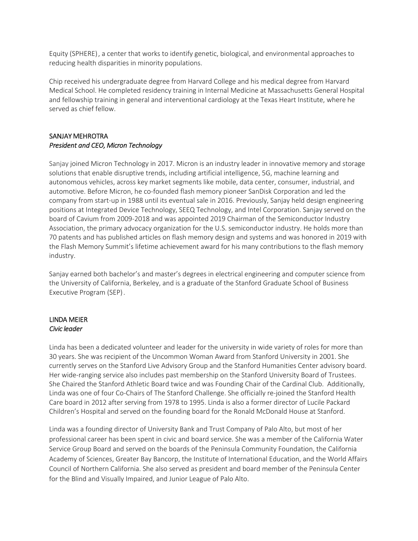Equity (SPHERE), a center that works to identify genetic, biological, and environmental approaches to reducing health disparities in minority populations.

Chip received his undergraduate degree from Harvard College and his medical degree from Harvard Medical School. He completed residency training in Internal Medicine at Massachusetts General Hospital and fellowship training in general and interventional cardiology at the Texas Heart Institute, where he served as chief fellow

## **SANJAY MEHROTRA** President and CEO, Micron Technology

Sanjay joined Micron Technology in 2017. Micron is an industry leader in innovative memory and storage solutions that enable disruptive trends, including artificial intelligence, 5G, machine learning and autonomous vehicles, across key market segments like mobile, data center, consumer, industrial, and automotive. Before Micron, he co-founded flash memory pioneer SanDisk Corporation and led the company from start-up in 1988 until its eventual sale in 2016. Previously, Sanjay held design engineering positions at Integrated Device Technology, SEEQ Technology, and Intel Corporation. Sanjay served on the board of Cavium from 2009-2018 and was appointed 2019 Chairman of the Semiconductor Industry Association, the primary advocacy organization for the U.S. semiconductor industry. He holds more than 70 patents and has published articles on flash memory design and systems and was honored in 2019 with the Flash Memory Summit's lifetime achievement award for his many contributions to the flash memory industry.

Sanjay earned both bachelor's and master's degrees in electrical engineering and computer science from the University of California, Berkeley, and is a graduate of the Stanford Graduate School of Business Executive Program (SEP).

#### **LINDA MEIER** Civic leader

Linda has been a dedicated volunteer and leader for the university in wide variety of roles for more than 30 years. She was recipient of the Uncommon Woman Award from Stanford University in 2001. She currently serves on the Stanford Live Advisory Group and the Stanford Humanities Center advisory board. Her wide-ranging service also includes past membership on the Stanford University Board of Trustees. She Chaired the Stanford Athletic Board twice and was Founding Chair of the Cardinal Club. Additionally, Linda was one of four Co-Chairs of The Stanford Challenge. She officially re-joined the Stanford Health Care board in 2012 after serving from 1978 to 1995. Linda is also a former director of Lucile Packard Children's Hospital and served on the founding board for the Ronald McDonald House at Stanford.

Linda was a founding director of University Bank and Trust Company of Palo Alto, but most of her professional career has been spent in civic and board service. She was a member of the California Water Service Group Board and served on the boards of the Peninsula Community Foundation, the California Academy of Sciences, Greater Bay Bancorp, the Institute of International Education, and the World Affairs Council of Northern California. She also served as president and board member of the Peninsula Center for the Blind and Visually Impaired, and Junior League of Palo Alto.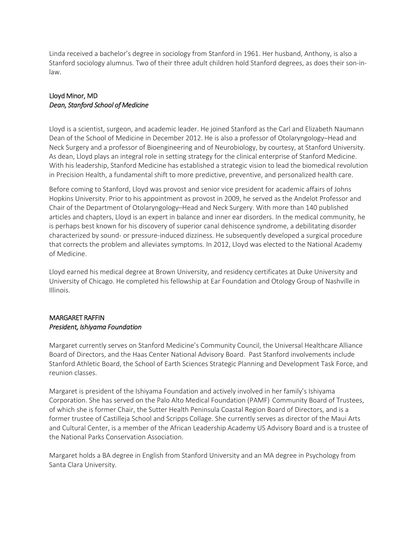Linda received a bachelor's degree in sociology from Stanford in 1961. Her husband, Anthony, is also a Stanford sociology alumnus. Two of their three adult children hold Stanford degrees, as does their son-inlaw.

### Lloyd Minor, MD Dean, Stanford School of Medicine

Lloyd is a scientist, surgeon, and academic leader. He joined Stanford as the Carl and Elizabeth Naumann Dean of the School of Medicine in December 2012. He is also a professor of Otolaryngology-Head and Neck Surgery and a professor of Bioengineering and of Neurobiology, by courtesy, at Stanford University. As dean, Lloyd plays an integral role in setting strategy for the clinical enterprise of Stanford Medicine. With his leadership, Stanford Medicine has established a strategic vision to lead the biomedical revolution in Precision Health, a fundamental shift to more predictive, preventive, and personalized health care.

Before coming to Stanford, Lloyd was provost and senior vice president for academic affairs of Johns Hopkins University. Prior to his appointment as provost in 2009, he served as the Andelot Professor and Chair of the Department of Otolaryngology–Head and Neck Surgery. With more than 140 published articles and chapters, Lloyd is an expert in balance and inner ear disorders. In the medical community, he is perhaps best known for his discovery of superior canal dehiscence syndrome, a debilitating disorder characterized by sound- or pressure-induced dizziness. He subsequently developed a surgical procedure that corrects the problem and alleviates symptoms. In 2012, Lloyd was elected to the National Academy of Medicine.

Lloyd earned his medical degree at Brown University, and residency certificates at Duke University and University of Chicago. He completed his fellowship at Ear Foundation and Otology Group of Nashville in Illinois.

## **MARGARET RAFFIN** President, Ishiyama Foundation

Margaret currently serves on Stanford Medicine's Community Council, the Universal Healthcare Alliance Board of Directors, and the Haas Center National Advisory Board. Past Stanford involvements include Stanford Athletic Board, the School of Earth Sciences Strategic Planning and Development Task Force, and reunion classes.

Margaret is president of the Ishiyama Foundation and actively involved in her family's Ishiyama Corporation. She has served on the Palo Alto Medical Foundation (PAMF) Community Board of Trustees, of which she is former Chair, the Sutter Health Peninsula Coastal Region Board of Directors, and is a former trustee of Castilleja School and Scripps Collage. She currently serves as director of the Maui Arts and Cultural Center, is a member of the African Leadership Academy US Advisory Board and is a trustee of the National Parks Conservation Association.

Margaret holds a BA degree in English from Stanford University and an MA degree in Psychology from Santa Clara University.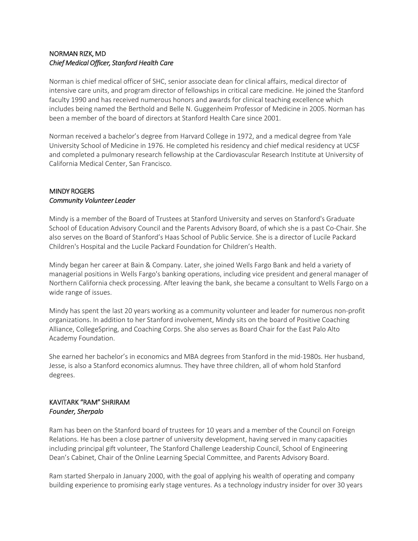### NORMAN RIZK, MD Chief Medical Officer, Stanford Health Care

Norman is chief medical officer of SHC, senior associate dean for clinical affairs, medical director of intensive care units, and program director of fellowships in critical care medicine. He joined the Stanford faculty 1990 and has received numerous honors and awards for clinical teaching excellence which includes being named the Berthold and Belle N. Guggenheim Professor of Medicine in 2005. Norman has been a member of the board of directors at Stanford Health Care since 2001

Norman received a bachelor's degree from Harvard College in 1972, and a medical degree from Yale University School of Medicine in 1976. He completed his residency and chief medical residency at UCSF and completed a pulmonary research fellowship at the Cardiovascular Research Institute at University of California Medical Center, San Francisco.

#### **MINDY ROGERS Community Volunteer Leader**

Mindy is a member of the Board of Trustees at Stanford University and serves on Stanford's Graduate School of Education Advisory Council and the Parents Advisory Board, of which she is a past Co-Chair. She also serves on the Board of Stanford's Haas School of Public Service. She is a director of Lucile Packard Children's Hospital and the Lucile Packard Foundation for Children's Health.

Mindy began her career at Bain & Company. Later, she joined Wells Fargo Bank and held a variety of managerial positions in Wells Fargo's banking operations, including vice president and general manager of Northern California check processing. After leaving the bank, she became a consultant to Wells Fargo on a wide range of issues.

Mindy has spent the last 20 years working as a community volunteer and leader for numerous non-profit organizations. In addition to her Stanford involvement, Mindy sits on the board of Positive Coaching Alliance, CollegeSpring, and Coaching Corps. She also serves as Board Chair for the East Palo Alto Academy Foundation.

She earned her bachelor's in economics and MBA degrees from Stanford in the mid-1980s. Her husband, Jesse, is also a Stanford economics alumnus. They have three children, all of whom hold Stanford degrees.

### **KAVITARK "RAM" SHRIRAM** Founder, Sherpalo

Ram has been on the Stanford board of trustees for 10 years and a member of the Council on Foreign Relations. He has been a close partner of university development, having served in many capacities including principal gift volunteer, The Stanford Challenge Leadership Council, School of Engineering Dean's Cabinet, Chair of the Online Learning Special Committee, and Parents Advisory Board.

Ram started Sherpalo in January 2000, with the goal of applying his wealth of operating and company building experience to promising early stage ventures. As a technology industry insider for over 30 years